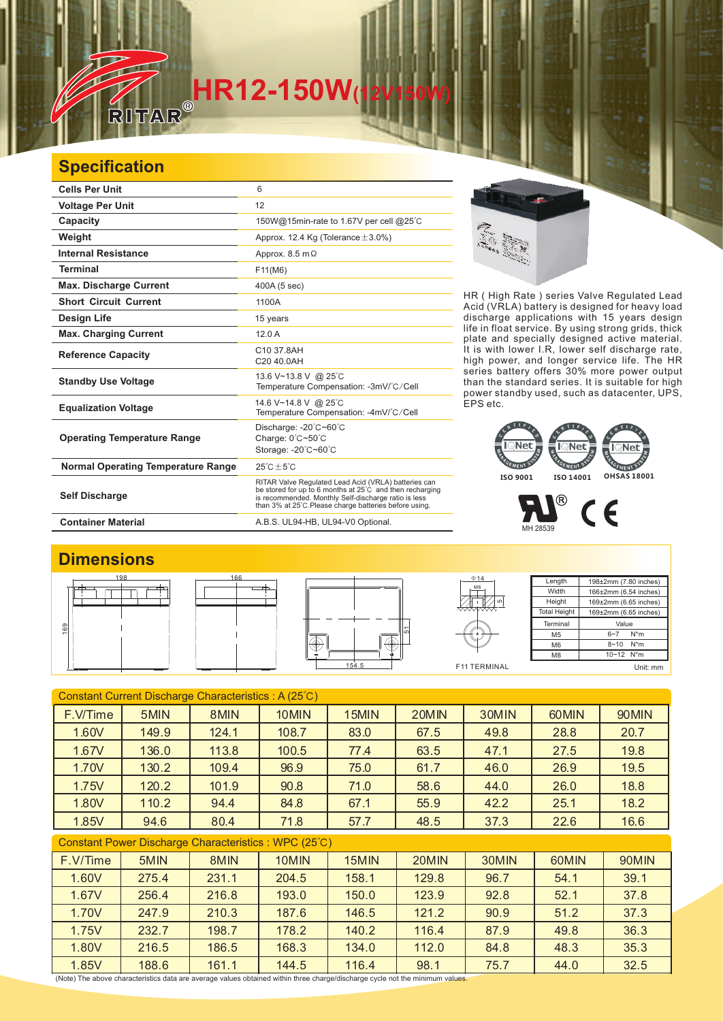# **HR12-150W**

### **Specification**

一

| <b>Cells Per Unit</b>              | 6                                                                                                                                                                                                                                            |  |  |
|------------------------------------|----------------------------------------------------------------------------------------------------------------------------------------------------------------------------------------------------------------------------------------------|--|--|
| <b>Voltage Per Unit</b>            | 12                                                                                                                                                                                                                                           |  |  |
| Capacity                           | 150W@15min-rate to 1.67V per cell @25°C                                                                                                                                                                                                      |  |  |
| Weight                             | Approx. 12.4 Kg (Tolerance $\pm$ 3.0%)                                                                                                                                                                                                       |  |  |
| <b>Internal Resistance</b>         | Approx. $8.5 \text{ m}\Omega$                                                                                                                                                                                                                |  |  |
| <b>Terminal</b>                    | F11(M6)                                                                                                                                                                                                                                      |  |  |
| <b>Max. Discharge Current</b>      | 400A (5 sec)                                                                                                                                                                                                                                 |  |  |
| <b>Short Circuit Current</b>       | 1100A                                                                                                                                                                                                                                        |  |  |
| <b>Design Life</b>                 | 15 years                                                                                                                                                                                                                                     |  |  |
| <b>Max. Charging Current</b>       | 120A                                                                                                                                                                                                                                         |  |  |
| <b>Reference Capacity</b>          | C10 37.8AH<br>C20 40 0AH                                                                                                                                                                                                                     |  |  |
| <b>Standby Use Voltage</b>         | 13.6 V~13.8 V @ 25°C<br>Temperature Compensation: -3mV/°C/Cell                                                                                                                                                                               |  |  |
| <b>Equalization Voltage</b>        | 14.6 V~14.8 V @ 25°C<br>Temperature Compensation: -4mV/°C/Cell                                                                                                                                                                               |  |  |
| <b>Operating Temperature Range</b> | Discharge: -20°C~60°C<br>Charge: 0°C~50°C<br>Storage: -20°C~60°C                                                                                                                                                                             |  |  |
| Normal Operating Temperature Range | $25^{\circ}$ C + 5 $^{\circ}$ C                                                                                                                                                                                                              |  |  |
| <b>Self Discharge</b>              | RITAR Valve Regulated Lead Acid (VRLA) batteries can<br>be stored for up to 6 months at $25^{\circ}$ C and then recharging<br>is recommended. Monthly Self-discharge ratio is less<br>than 3% at 25°C. Please charge batteries before using. |  |  |

HR ( High Rate ) series Valve Regulated Lead Acid (VRLA) battery is designed for heavy load discharge applications with 15 years design life in float service. By using strong grids, thick plate and specially designed active material. It is with lower I.R, lower self discharge rate, high power, and longer service life. The HR series battery offers 30% more power output than the standard series. It is suitable for high power standby used, such as datacenter, UPS, EPS etc.

## **EMENT** EMENT **ISO 9001 ISO 14001 OHSAS 18001**

P  $C \in$ MH 28539

#### **Dimensions**





**Container Material** A.B.S. UL94-HB, UL94-V0 Optional.



F11 TERMINAL M6

5

Length **Width** Height **Total Height** 198±2mm (7.80 inches) 166±2mm (6.54 inches) 169±2mm (6.65 inches) 169±2mm (6.65 inches) **Terminal** M5 M6 M8 Value 6~7 N\*m 8~10 N\*m  $10 - 12$  N<sup>\*</sup>m Unit: mm

| Constant Current Discharge Characteristics: A (25°C)  |       |       |       |       |       |       |       |       |  |
|-------------------------------------------------------|-------|-------|-------|-------|-------|-------|-------|-------|--|
| F.V/Time                                              | 5MIN  | 8MIN  | 10MIN | 15MIN | 20MIN | 30MIN | 60MIN | 90MIN |  |
| 1.60V                                                 | 149.9 | 124.1 | 108.7 | 83.0  | 67.5  | 49.8  | 28.8  | 20.7  |  |
| 1.67V                                                 | 136.0 | 113.8 | 100.5 | 77.4  | 63.5  | 47.1  | 27.5  | 19.8  |  |
| 1.70V                                                 | 130.2 | 109.4 | 96.9  | 75.0  | 61.7  | 46.0  | 26.9  | 19.5  |  |
| 1.75V                                                 | 120.2 | 101.9 | 90.8  | 71.0  | 58.6  | 44.0  | 26.0  | 18.8  |  |
| 1.80V                                                 | 110.2 | 94.4  | 84.8  | 67.1  | 55.9  | 42.2  | 25.1  | 18.2  |  |
| 1.85V                                                 | 94.6  | 80.4  | 71.8  | 57.7  | 48.5  | 37.3  | 22.6  | 16.6  |  |
| Constant Power Discharge Characteristics : WPC (25°C) |       |       |       |       |       |       |       |       |  |
| F.V/Time                                              | 5MIN  | 8MIN  | 10MIN | 15MIN | 20MIN | 30MIN | 60MIN | 90MIN |  |
| 1.60V                                                 | 275.4 | 231.1 | 204.5 | 158.1 | 129.8 | 96.7  | 54.1  | 39.1  |  |
| 1.67V                                                 | 256.4 | 216.8 | 193.0 | 150.0 | 123.9 | 92.8  | 52.1  | 37.8  |  |
| 1.70V                                                 | 247.9 | 210.3 | 187.6 | 146.5 | 121.2 | 90.9  | 51.2  | 37.3  |  |
| 1.75V                                                 | 232.7 | 198.7 | 178.2 | 140.2 | 116.4 | 87.9  | 49.8  | 36.3  |  |
| 1.80V                                                 | 216.5 | 186.5 | 168.3 | 134.0 | 112.0 | 84.8  | 48.3  | 35.3  |  |
| 1.85V                                                 | 188.6 | 161.1 | 144.5 | 116.4 | 98.1  | 75.7  | 44.0  | 32.5  |  |

(Note) The above characteristics data are average values obtained within three charge/discharge cycle not the minimum values.